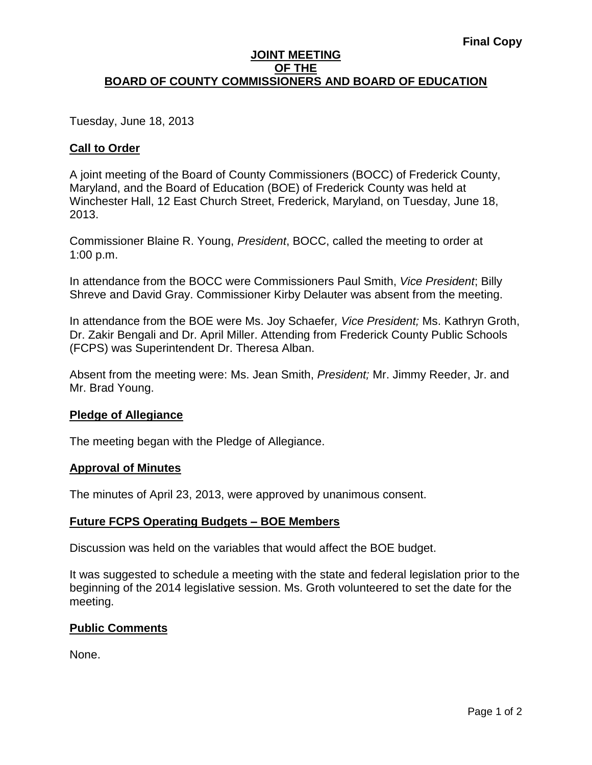### **JOINT MEETING OF THE BOARD OF COUNTY COMMISSIONERS AND BOARD OF EDUCATION**

Tuesday, June 18, 2013

## **Call to Order**

A joint meeting of the Board of County Commissioners (BOCC) of Frederick County, Maryland, and the Board of Education (BOE) of Frederick County was held at Winchester Hall, 12 East Church Street, Frederick, Maryland, on Tuesday, June 18, 2013.

Commissioner Blaine R. Young, *President*, BOCC, called the meeting to order at 1:00 p.m.

In attendance from the BOCC were Commissioners Paul Smith, *Vice President*; Billy Shreve and David Gray. Commissioner Kirby Delauter was absent from the meeting.

In attendance from the BOE were Ms. Joy Schaefer*, Vice President;* Ms. Kathryn Groth, Dr. Zakir Bengali and Dr. April Miller. Attending from Frederick County Public Schools (FCPS) was Superintendent Dr. Theresa Alban.

Absent from the meeting were: Ms. Jean Smith, *President;* Mr. Jimmy Reeder, Jr. and Mr. Brad Young.

### **Pledge of Allegiance**

The meeting began with the Pledge of Allegiance.

#### **Approval of Minutes**

The minutes of April 23, 2013, were approved by unanimous consent.

### **Future FCPS Operating Budgets – BOE Members**

Discussion was held on the variables that would affect the BOE budget.

It was suggested to schedule a meeting with the state and federal legislation prior to the beginning of the 2014 legislative session. Ms. Groth volunteered to set the date for the meeting.

### **Public Comments**

None.